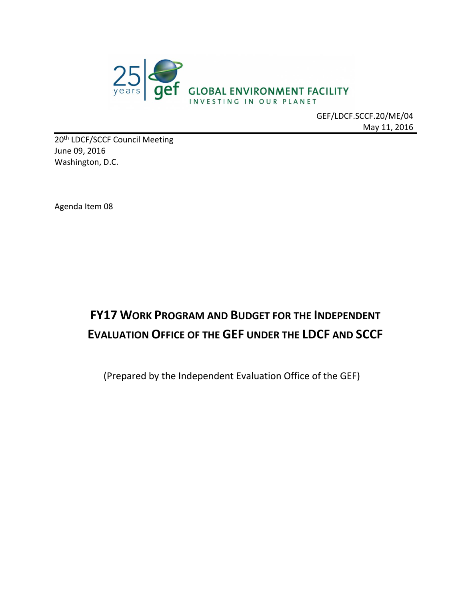

GEF/LDCF.SCCF.20/ME/04 May 11, 2016

20<sup>th</sup> LDCF/SCCF Council Meeting June 09, 2016 Washington, D.C.

Agenda Item 08

# **FY17 WORK PROGRAM AND BUDGET FOR THE INDEPENDENT EVALUATION OFFICE OF THE GEF UNDER THE LDCF AND SCCF**

(Prepared by the Independent Evaluation Office of the GEF)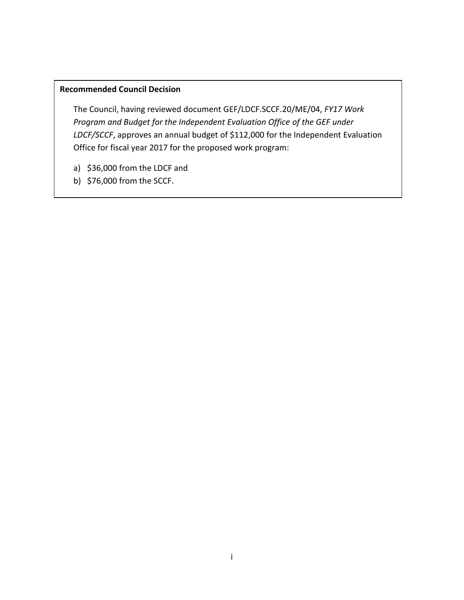#### **Recommended Council Decision**

The Council, having reviewed document GEF/LDCF.SCCF.20/ME/04, *FY17 Work Program and Budget for the Independent Evaluation Office of the GEF under LDCF/SCCF*, approves an annual budget of \$112,000 for the Independent Evaluation Office for fiscal year 2017 for the proposed work program:

- a) \$36,000 from the LDCF and
- b) \$76,000 from the SCCF.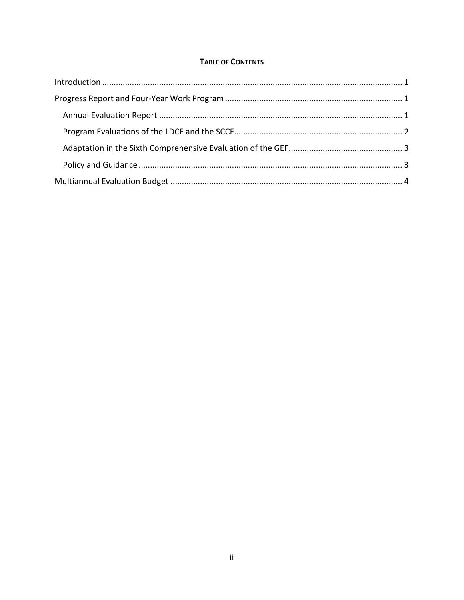#### **TABLE OF CONTENTS**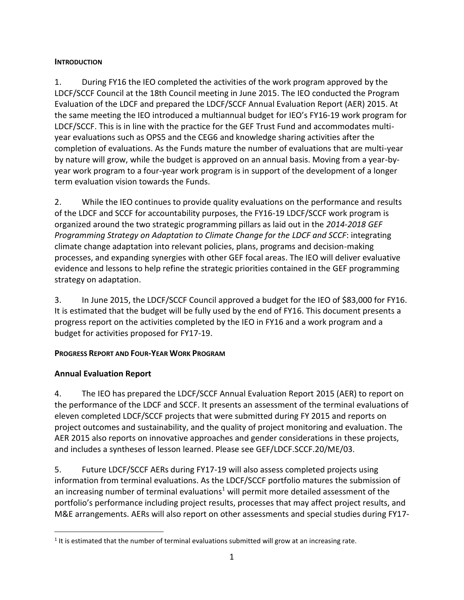#### <span id="page-3-0"></span>**INTRODUCTION**

1. During FY16 the IEO completed the activities of the work program approved by the LDCF/SCCF Council at the 18th Council meeting in June 2015. The IEO conducted the Program Evaluation of the LDCF and prepared the LDCF/SCCF Annual Evaluation Report (AER) 2015. At the same meeting the IEO introduced a multiannual budget for IEO's FY16-19 work program for LDCF/SCCF. This is in line with the practice for the GEF Trust Fund and accommodates multiyear evaluations such as OPS5 and the CEG6 and knowledge sharing activities after the completion of evaluations. As the Funds mature the number of evaluations that are multi-year by nature will grow, while the budget is approved on an annual basis. Moving from a year-byyear work program to a four-year work program is in support of the development of a longer term evaluation vision towards the Funds.

2. While the IEO continues to provide quality evaluations on the performance and results of the LDCF and SCCF for accountability purposes, the FY16-19 LDCF/SCCF work program is organized around the two strategic programming pillars as laid out in the *2014-2018 GEF Programming Strategy on Adaptation to Climate Change for the LDCF and SCCF*: integrating climate change adaptation into relevant policies, plans, programs and decision-making processes, and expanding synergies with other GEF focal areas. The IEO will deliver evaluative evidence and lessons to help refine the strategic priorities contained in the GEF programming strategy on adaptation.

3. In June 2015, the LDCF/SCCF Council approved a budget for the IEO of \$83,000 for FY16. It is estimated that the budget will be fully used by the end of FY16. This document presents a progress report on the activities completed by the IEO in FY16 and a work program and a budget for activities proposed for FY17-19.

#### <span id="page-3-1"></span>**PROGRESS REPORT AND FOUR-YEAR WORK PROGRAM**

### <span id="page-3-2"></span>**Annual Evaluation Report**

4. The IEO has prepared the LDCF/SCCF Annual Evaluation Report 2015 (AER) to report on the performance of the LDCF and SCCF. It presents an assessment of the terminal evaluations of eleven completed LDCF/SCCF projects that were submitted during FY 2015 and reports on project outcomes and sustainability, and the quality of project monitoring and evaluation. The AER 2015 also reports on innovative approaches and gender considerations in these projects, and includes a syntheses of lesson learned. Please see GEF/LDCF.SCCF.20/ME/03.

5. Future LDCF/SCCF AERs during FY17-19 will also assess completed projects using information from terminal evaluations. As the LDCF/SCCF portfolio matures the submission of an increasing number of terminal evaluations<sup>1</sup> will permit more detailed assessment of the portfolio's performance including project results, processes that may affect project results, and M&E arrangements. AERs will also report on other assessments and special studies during FY17-

 $\overline{a}$  $<sup>1</sup>$  It is estimated that the number of terminal evaluations submitted will grow at an increasing rate.</sup>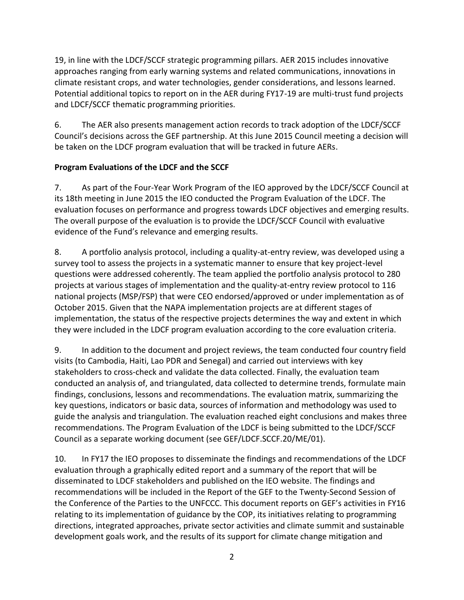19, in line with the LDCF/SCCF strategic programming pillars. AER 2015 includes innovative approaches ranging from early warning systems and related communications, innovations in climate resistant crops, and water technologies, gender considerations, and lessons learned. Potential additional topics to report on in the AER during FY17-19 are multi-trust fund projects and LDCF/SCCF thematic programming priorities.

6. The AER also presents management action records to track adoption of the LDCF/SCCF Council's decisions across the GEF partnership. At this June 2015 Council meeting a decision will be taken on the LDCF program evaluation that will be tracked in future AERs.

#### <span id="page-4-0"></span>**Program Evaluations of the LDCF and the SCCF**

7. As part of the Four-Year Work Program of the IEO approved by the LDCF/SCCF Council at its 18th meeting in June 2015 the IEO conducted the Program Evaluation of the LDCF. The evaluation focuses on performance and progress towards LDCF objectives and emerging results. The overall purpose of the evaluation is to provide the LDCF/SCCF Council with evaluative evidence of the Fund's relevance and emerging results.

8. A portfolio analysis protocol, including a quality-at-entry review, was developed using a survey tool to assess the projects in a systematic manner to ensure that key project-level questions were addressed coherently. The team applied the portfolio analysis protocol to 280 projects at various stages of implementation and the quality-at-entry review protocol to 116 national projects (MSP/FSP) that were CEO endorsed/approved or under implementation as of October 2015. Given that the NAPA implementation projects are at different stages of implementation, the status of the respective projects determines the way and extent in which they were included in the LDCF program evaluation according to the core evaluation criteria.

9. In addition to the document and project reviews, the team conducted four country field visits (to Cambodia, Haiti, Lao PDR and Senegal) and carried out interviews with key stakeholders to cross-check and validate the data collected. Finally, the evaluation team conducted an analysis of, and triangulated, data collected to determine trends, formulate main findings, conclusions, lessons and recommendations. The evaluation matrix, summarizing the key questions, indicators or basic data, sources of information and methodology was used to guide the analysis and triangulation. The evaluation reached eight conclusions and makes three recommendations. The Program Evaluation of the LDCF is being submitted to the LDCF/SCCF Council as a separate working document (see GEF/LDCF.SCCF.20/ME/01).

10. In FY17 the IEO proposes to disseminate the findings and recommendations of the LDCF evaluation through a graphically edited report and a summary of the report that will be disseminated to LDCF stakeholders and published on the IEO website. The findings and recommendations will be included in the Report of the GEF to the Twenty-Second Session of the Conference of the Parties to the UNFCCC. This document reports on GEF's activities in FY16 relating to its implementation of guidance by the COP, its initiatives relating to programming directions, integrated approaches, private sector activities and climate summit and sustainable development goals work, and the results of its support for climate change mitigation and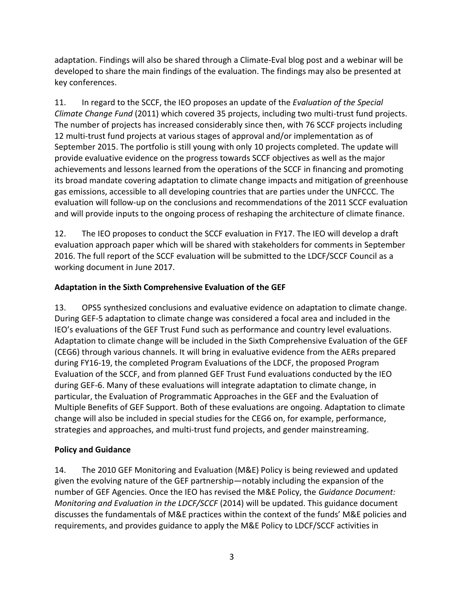adaptation. Findings will also be shared through a Climate-Eval blog post and a webinar will be developed to share the main findings of the evaluation. The findings may also be presented at key conferences.

11. In regard to the SCCF, the IEO proposes an update of the *Evaluation of the Special Climate Change Fund* (2011) which covered 35 projects, including two multi-trust fund projects. The number of projects has increased considerably since then, with 76 SCCF projects including 12 multi-trust fund projects at various stages of approval and/or implementation as of September 2015. The portfolio is still young with only 10 projects completed. The update will provide evaluative evidence on the progress towards SCCF objectives as well as the major achievements and lessons learned from the operations of the SCCF in financing and promoting its broad mandate covering adaptation to climate change impacts and mitigation of greenhouse gas emissions, accessible to all developing countries that are parties under the UNFCCC. The evaluation will follow-up on the conclusions and recommendations of the 2011 SCCF evaluation and will provide inputs to the ongoing process of reshaping the architecture of climate finance.

12. The IEO proposes to conduct the SCCF evaluation in FY17. The IEO will develop a draft evaluation approach paper which will be shared with stakeholders for comments in September 2016. The full report of the SCCF evaluation will be submitted to the LDCF/SCCF Council as a working document in June 2017.

#### <span id="page-5-0"></span>**Adaptation in the Sixth Comprehensive Evaluation of the GEF**

13. OPS5 synthesized conclusions and evaluative evidence on adaptation to climate change. During GEF-5 adaptation to climate change was considered a focal area and included in the IEO's evaluations of the GEF Trust Fund such as performance and country level evaluations. Adaptation to climate change will be included in the Sixth Comprehensive Evaluation of the GEF (CEG6) through various channels. It will bring in evaluative evidence from the AERs prepared during FY16-19, the completed Program Evaluations of the LDCF, the proposed Program Evaluation of the SCCF, and from planned GEF Trust Fund evaluations conducted by the IEO during GEF-6. Many of these evaluations will integrate adaptation to climate change, in particular, the Evaluation of Programmatic Approaches in the GEF and the Evaluation of Multiple Benefits of GEF Support. Both of these evaluations are ongoing. Adaptation to climate change will also be included in special studies for the CEG6 on, for example, performance, strategies and approaches, and multi-trust fund projects, and gender mainstreaming.

#### <span id="page-5-1"></span>**Policy and Guidance**

14. The 2010 GEF Monitoring and Evaluation (M&E) Policy is being reviewed and updated given the evolving nature of the GEF partnership—notably including the expansion of the number of GEF Agencies. Once the IEO has revised the M&E Policy, the *Guidance Document: Monitoring and Evaluation in the LDCF/SCCF* (2014) will be updated. This guidance document discusses the fundamentals of M&E practices within the context of the funds' M&E policies and requirements, and provides guidance to apply the M&E Policy to LDCF/SCCF activities in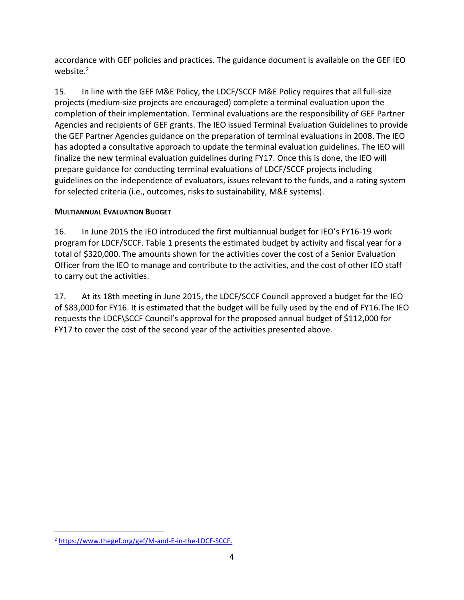accordance with GEF policies and practices. The guidance document is available on the GEF IEO website.<sup>2</sup>

15. In line with the GEF M&E Policy, the LDCF/SCCF M&E Policy requires that all full-size projects (medium-size projects are encouraged) complete a terminal evaluation upon the completion of their implementation. Terminal evaluations are the responsibility of GEF Partner Agencies and recipients of GEF grants. The IEO issued Terminal Evaluation Guidelines to provide the GEF Partner Agencies guidance on the preparation of terminal evaluations in 2008. The IEO has adopted a consultative approach to update the terminal evaluation guidelines. The IEO will finalize the new terminal evaluation guidelines during FY17. Once this is done, the IEO will prepare guidance for conducting terminal evaluations of LDCF/SCCF projects including guidelines on the independence of evaluators, issues relevant to the funds, and a rating system for selected criteria (i.e., outcomes, risks to sustainability, M&E systems).

#### <span id="page-6-0"></span>**MULTIANNUAL EVALUATION BUDGET**

16. In June 2015 the IEO introduced the first multiannual budget for IEO's FY16-19 work program for LDCF/SCCF. Table 1 presents the estimated budget by activity and fiscal year for a total of \$320,000. The amounts shown for the activities cover the cost of a Senior Evaluation Officer from the IEO to manage and contribute to the activities, and the cost of other IEO staff to carry out the activities.

17. At its 18th meeting in June 2015, the LDCF/SCCF Council approved a budget for the IEO of \$83,000 for FY16. It is estimated that the budget will be fully used by the end of FY16.The IEO requests the LDCF\SCCF Council's approval for the proposed annual budget of \$112,000 for FY17 to cover the cost of the second year of the activities presented above.

 $\overline{a}$ 

<sup>2</sup> [https://www.thegef.org/gef/M-and-E-in-the-LDCF-SCCF.](https://www.thegef.org/gef/M-and-E-in-the-LDCF-SCCF)